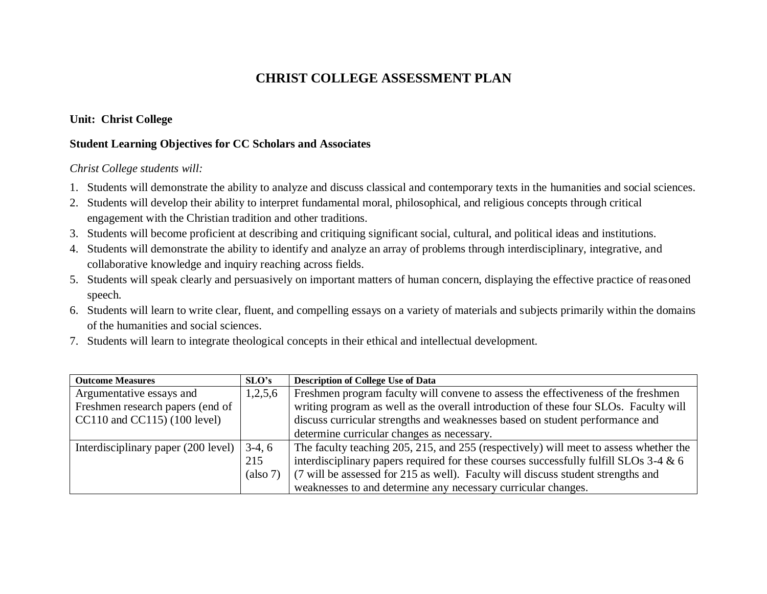# **CHRIST COLLEGE ASSESSMENT PLAN**

# **Unit: Christ College**

### **Student Learning Objectives for CC Scholars and Associates**

#### *Christ College students will:*

- 1. Students will demonstrate the ability to analyze and discuss classical and contemporary texts in the humanities and social sciences.
- 2. Students will develop their ability to interpret fundamental moral, philosophical, and religious concepts through critical engagement with the Christian tradition and other traditions.
- 3. Students will become proficient at describing and critiquing significant social, cultural, and political ideas and institutions.
- 4. Students will demonstrate the ability to identify and analyze an array of problems through interdisciplinary, integrative, and collaborative knowledge and inquiry reaching across fields.
- 5. Students will speak clearly and persuasively on important matters of human concern, displaying the effective practice of reasoned speech.
- 6. Students will learn to write clear, fluent, and compelling essays on a variety of materials and subjects primarily within the domains of the humanities and social sciences.
- 7. Students will learn to integrate theological concepts in their ethical and intellectual development.

| <b>Outcome Measures</b>             | SLO's    | <b>Description of College Use of Data</b>                                             |
|-------------------------------------|----------|---------------------------------------------------------------------------------------|
| Argumentative essays and            | 1,2,5,6  | Freshmen program faculty will convene to assess the effectiveness of the freshmen     |
| Freshmen research papers (end of    |          | writing program as well as the overall introduction of these four SLOs. Faculty will  |
| $CC110$ and $CC115$ ) (100 level)   |          | discuss curricular strengths and weaknesses based on student performance and          |
|                                     |          | determine curricular changes as necessary.                                            |
| Interdisciplinary paper (200 level) | $3-4, 6$ | The faculty teaching 205, 215, and 255 (respectively) will meet to assess whether the |
|                                     | 215      | interdisciplinary papers required for these courses successfully fulfill SLOs 3-4 & 6 |
|                                     | (also 7) | (7 will be assessed for 215 as well). Faculty will discuss student strengths and      |
|                                     |          | weaknesses to and determine any necessary curricular changes.                         |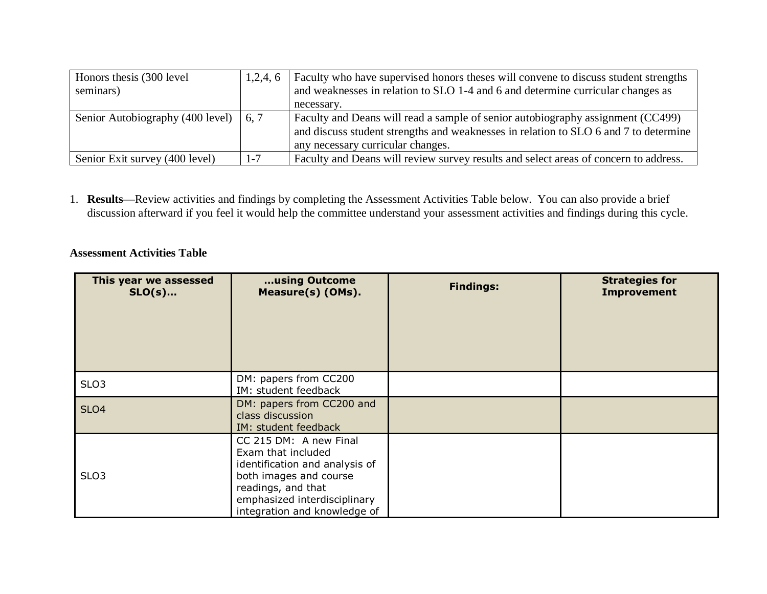| Honors thesis (300 level                     | 1,2,4,6 | Faculty who have supervised honors theses will convene to discuss student strengths  |
|----------------------------------------------|---------|--------------------------------------------------------------------------------------|
| seminars)                                    |         | and weaknesses in relation to SLO 1-4 and 6 and determine curricular changes as      |
|                                              |         | necessary.                                                                           |
| Senior Autobiography (400 level) $\mid$ 6, 7 |         | Faculty and Deans will read a sample of senior autobiography assignment (CC499)      |
|                                              |         | and discuss student strengths and weaknesses in relation to SLO 6 and 7 to determine |
|                                              |         | any necessary curricular changes.                                                    |
| Senior Exit survey (400 level)               | $1 - 7$ | Faculty and Deans will review survey results and select areas of concern to address. |

1. **Results—**Review activities and findings by completing the Assessment Activities Table below. You can also provide a brief discussion afterward if you feel it would help the committee understand your assessment activities and findings during this cycle.

### **Assessment Activities Table**

| This year we assessed<br>$SLO(s)$ | using Outcome<br>Measure(s) (OMs).                                                                                                                                                             | <b>Findings:</b> | <b>Strategies for</b><br><b>Improvement</b> |
|-----------------------------------|------------------------------------------------------------------------------------------------------------------------------------------------------------------------------------------------|------------------|---------------------------------------------|
| SLO <sub>3</sub>                  | DM: papers from CC200<br>IM: student feedback                                                                                                                                                  |                  |                                             |
| <b>SLO4</b>                       | DM: papers from CC200 and<br>class discussion<br>IM: student feedback                                                                                                                          |                  |                                             |
| SLO <sub>3</sub>                  | CC 215 DM: A new Final<br>Exam that included<br>identification and analysis of<br>both images and course<br>readings, and that<br>emphasized interdisciplinary<br>integration and knowledge of |                  |                                             |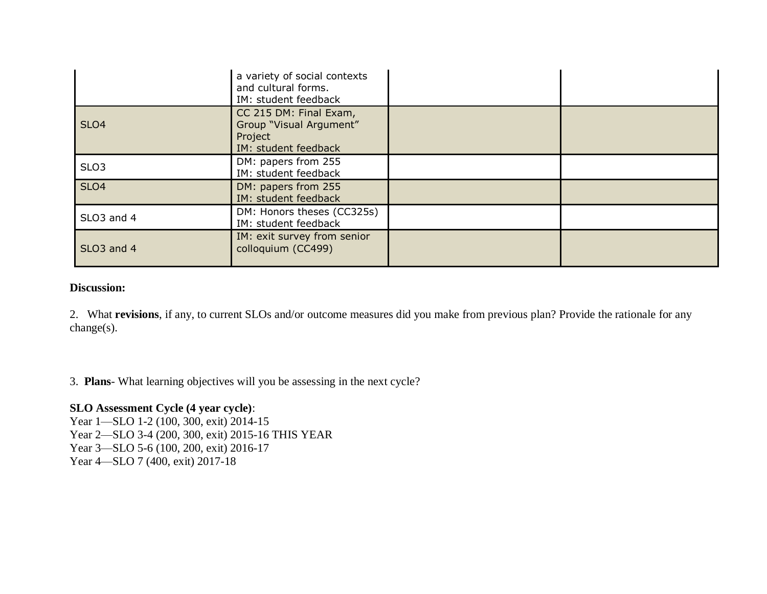|                        | a variety of social contexts<br>and cultural forms.<br>IM: student feedback          |  |
|------------------------|--------------------------------------------------------------------------------------|--|
| SLO <sub>4</sub>       | CC 215 DM: Final Exam,<br>Group "Visual Argument"<br>Project<br>IM: student feedback |  |
| SLO <sub>3</sub>       | DM: papers from 255<br>IM: student feedback                                          |  |
| SLO <sub>4</sub>       | DM: papers from 255<br>IM: student feedback                                          |  |
| SLO <sub>3</sub> and 4 | DM: Honors theses (CC325s)<br>IM: student feedback                                   |  |
| SLO <sub>3</sub> and 4 | IM: exit survey from senior<br>colloquium (CC499)                                    |  |

# **Discussion:**

2. What **revisions**, if any, to current SLOs and/or outcome measures did you make from previous plan? Provide the rationale for any change(s).

3. **Plans**- What learning objectives will you be assessing in the next cycle?

## **SLO Assessment Cycle (4 year cycle)**:

Year 1—SLO 1-2 (100, 300, exit) 2014-15 Year 2—SLO 3-4 (200, 300, exit) 2015-16 THIS YEAR Year 3—SLO 5-6 (100, 200, exit) 2016-17 Year 4—SLO 7 (400, exit) 2017-18